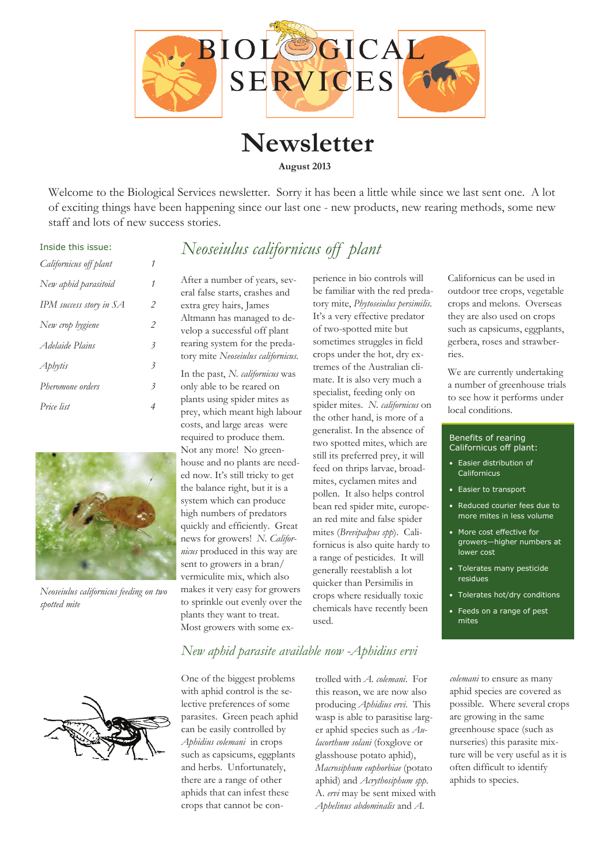

**Newsletter August 2013** 

Welcome to the Biological Services newsletter. Sorry it has been a little while since we last sent one. A lot of exciting things have been happening since our last one - new products, new rearing methods, some new staff and lots of new success stories.

*Neoseiulus californicus off plant* 

#### Inside this issue:

| Californicus off plant  |                          |
|-------------------------|--------------------------|
| New aphid parasitoid    | 1                        |
| IPM success story in SA | 2                        |
| New crop hygiene        | 2                        |
| Adelaide Plains         | $\overline{\mathcal{E}}$ |
| Aphytis                 | 3                        |
| Pheromone orders        | $\overline{\mathcal{E}}$ |
| Price list              | 4                        |



*Neoseiulus californicus feeding on two spotted mite* 

After a number of years, several false starts, crashes and extra grey hairs, James Altmann has managed to develop a successful off plant rearing system for the predatory mite *Neoseiulus californicus*.

In the past, *N. californicus* was only able to be reared on plants using spider mites as prey, which meant high labour costs, and large areas were required to produce them. Not any more! No greenhouse and no plants are needed now. It's still tricky to get the balance right, but it is a system which can produce high numbers of predators quickly and efficiently. Great news for growers! *N. Californicus* produced in this way are sent to growers in a bran/ vermiculite mix, which also makes it very easy for growers to sprinkle out evenly over the plants they want to treat. Most growers with some experience in bio controls will be familiar with the red predatory mite, *Phytoseiulus persimilis.* It's a very effective predator of two-spotted mite but sometimes struggles in field crops under the hot, dry extremes of the Australian climate. It is also very much a specialist, feeding only on spider mites. *N. californicus* on the other hand, is more of a generalist. In the absence of two spotted mites, which are still its preferred prey, it will feed on thrips larvae, broadmites, cyclamen mites and pollen. It also helps control bean red spider mite, european red mite and false spider mites (*Brevipalpus spp*). Californicus is also quite hardy to a range of pesticides. It will generally reestablish a lot quicker than Persimilis in crops where residually toxic chemicals have recently been used.

Californicus can be used in outdoor tree crops, vegetable crops and melons. Overseas they are also used on crops such as capsicums, eggplants, gerbera, roses and strawberries.

We are currently undertaking a number of greenhouse trials to see how it performs under local conditions.

#### Benefits of rearing Californicus off plant:

- Easier distribution of Californicus
- Easier to transport
- Reduced courier fees due to more mites in less volume
- More cost effective for growers—higher numbers at lower cost
- Tolerates many pesticide residues
- Tolerates hot/dry conditions
- Feeds on a range of pest mites



#### *New aphid parasite available now -Aphidius ervi*

One of the biggest problems with aphid control is the selective preferences of some parasites. Green peach aphid can be easily controlled by *Aphidius colemani* in crops such as capsicums, eggplants and herbs. Unfortunately, there are a range of other aphids that can infest these crops that cannot be con-

trolled with *A. colemani*. For this reason, we are now also producing *Aphidius ervi*. This wasp is able to parasitise larger aphid species such as *Aulacorthum solani* (foxglove or glasshouse potato aphid), *Macrosiphum euphorbiae* (potato aphid) and *Acrythosiphum spp*. A. *ervi* may be sent mixed with *Aphelinus abdominalis* and *A.* 

*colemani* to ensure as many aphid species are covered as possible. Where several crops are growing in the same greenhouse space (such as nurseries) this parasite mixture will be very useful as it is often difficult to identify aphids to species.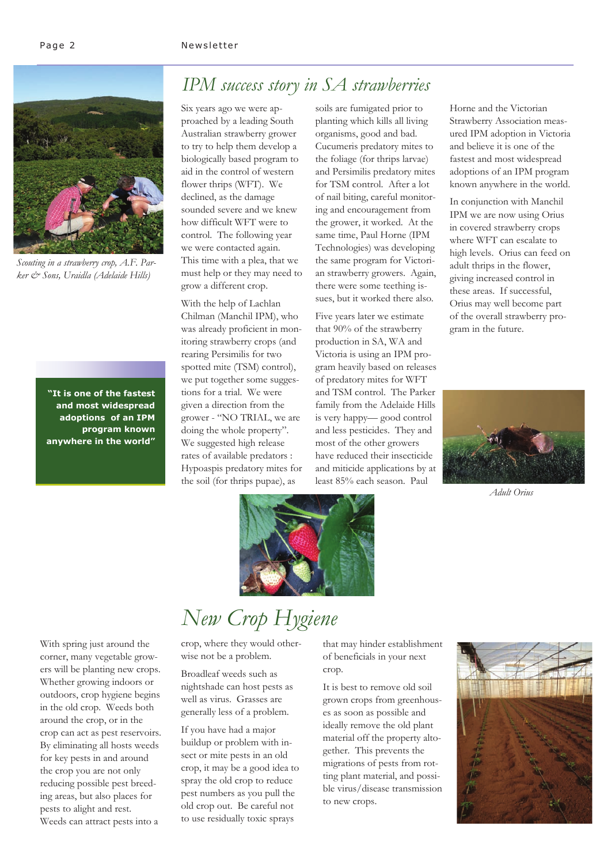

*Scouting in a strawberry crop, A.F. Parker & Sons, Uraidla (Adelaide Hills)* 

**"It is one of the fastest and most widespread adoptions of an IPM program known anywhere in the world"** 

### *IPM success story in SA strawberries*

Six years ago we were approached by a leading South Australian strawberry grower to try to help them develop a biologically based program to aid in the control of western flower thrips (WFT). We declined, as the damage sounded severe and we knew how difficult WFT were to control. The following year we were contacted again. This time with a plea, that we must help or they may need to grow a different crop.

With the help of Lachlan Chilman (Manchil IPM), who was already proficient in monitoring strawberry crops (and rearing Persimilis for two spotted mite (TSM) control), we put together some suggestions for a trial. We were given a direction from the grower - "NO TRIAL, we are doing the whole property". We suggested high release rates of available predators : Hypoaspis predatory mites for the soil (for thrips pupae), as

soils are fumigated prior to planting which kills all living organisms, good and bad. Cucumeris predatory mites to the foliage (for thrips larvae) and Persimilis predatory mites for TSM control. After a lot of nail biting, careful monitoring and encouragement from the grower, it worked. At the same time, Paul Horne (IPM Technologies) was developing the same program for Victorian strawberry growers. Again, there were some teething issues, but it worked there also.

Five years later we estimate that 90% of the strawberry production in SA, WA and Victoria is using an IPM program heavily based on releases of predatory mites for WFT and TSM control. The Parker family from the Adelaide Hills is very happy— good control and less pesticides. They and most of the other growers have reduced their insecticide and miticide applications by at least 85% each season. Paul

Horne and the Victorian Strawberry Association measured IPM adoption in Victoria and believe it is one of the fastest and most widespread adoptions of an IPM program known anywhere in the world.

In conjunction with Manchil IPM we are now using Orius in covered strawberry crops where WFT can escalate to high levels. Orius can feed on adult thrips in the flower, giving increased control in these areas. If successful, Orius may well become part of the overall strawberry program in the future.



*Adult Orius* 



#### With spring just around the corner, many vegetable growers will be planting new crops. Whether growing indoors or outdoors, crop hygiene begins in the old crop. Weeds both around the crop, or in the crop can act as pest reservoirs. By eliminating all hosts weeds for key pests in and around the crop you are not only reducing possible pest breeding areas, but also places for pests to alight and rest. Weeds can attract pests into a

# *New Crop Hygiene*

crop, where they would otherwise not be a problem.

Broadleaf weeds such as nightshade can host pests as well as virus. Grasses are generally less of a problem.

If you have had a major buildup or problem with insect or mite pests in an old crop, it may be a good idea to spray the old crop to reduce pest numbers as you pull the old crop out. Be careful not to use residually toxic sprays

that may hinder establishment of beneficials in your next crop.

It is best to remove old soil grown crops from greenhouses as soon as possible and ideally remove the old plant material off the property altogether. This prevents the migrations of pests from rotting plant material, and possible virus/disease transmission to new crops.